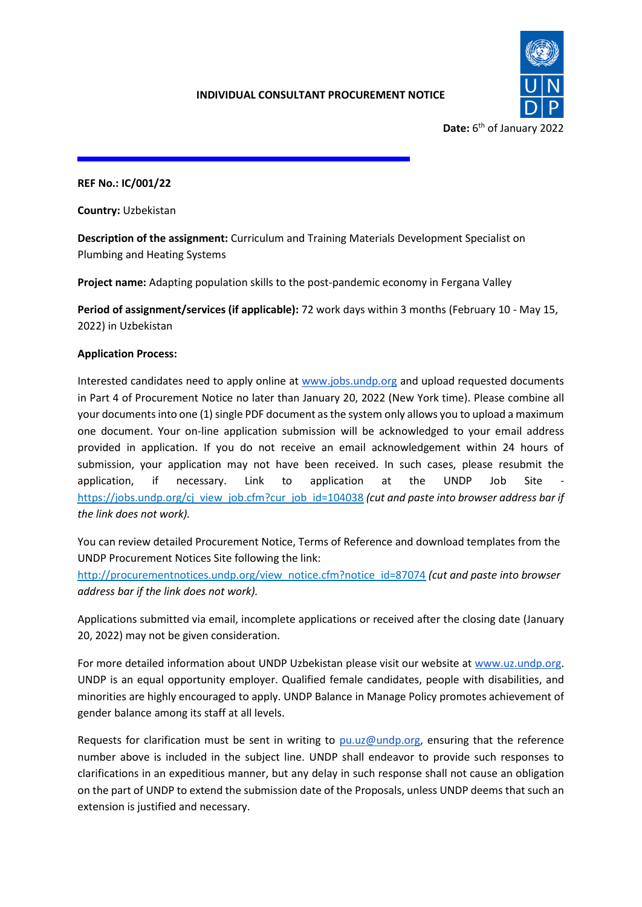

**REF No.: IC/001/22**

**Country:** Uzbekistan

**Description of the assignment:** Curriculum and Training Materials Development Specialist on Plumbing and Heating Systems

**Project name:** Adapting population skills to the post-pandemic economy in Fergana Valley

**Period of assignment/services (if applicable):** 72 work days within 3 months (February 10 - May 15, 2022) in Uzbekistan

# **Application Process:**

Interested candidates need to apply online at [www.jobs.undp.org](http://www.jobs.undp.org/) and upload requested documents in Part 4 of Procurement Notice no later than January 20, 2022 (New York time). Please combine all your documents into one (1) single PDF document as the system only allows you to upload a maximum one document. Your on-line application submission will be acknowledged to your email address provided in application. If you do not receive an email acknowledgement within 24 hours of submission, your application may not have been received. In such cases, please resubmit the application, if necessary. Link to application at the UNDP Job Site [https://jobs.undp.org/cj\\_view\\_job.cfm?cur\\_job\\_id=104038](https://jobs.undp.org/cj_view_job.cfm?cur_job_id=104038) *(cut and paste into browser address bar if the link does not work).* 

You can review detailed Procurement Notice, Terms of Reference and download templates from the UNDP Procurement Notices Site following the link:

[http://procurementnotices.undp.org/view\\_notice.cfm?notice\\_id=87074](http://procurementnotices.undp.org/view_notice.cfm?notice_id=87074) *(cut and paste into browser address bar if the link does not work).*

Applications submitted via email, incomplete applications or received after the closing date (January 20, 2022) may not be given consideration.

For more detailed information about UNDP Uzbekistan please visit our website at [www.uz.undp.org.](http://www.uz.undp.org/) UNDP is an equal opportunity employer. Qualified female candidates, people with disabilities, and minorities are highly encouraged to apply. UNDP Balance in Manage Policy promotes achievement of gender balance among its staff at all levels.

Requests for clarification must be sent in writing to [pu.uz@undp.org,](mailto:pu.uz@undp.org) ensuring that the reference number above is included in the subject line. UNDP shall endeavor to provide such responses to clarifications in an expeditious manner, but any delay in such response shall not cause an obligation on the part of UNDP to extend the submission date of the Proposals, unless UNDP deems that such an extension is justified and necessary.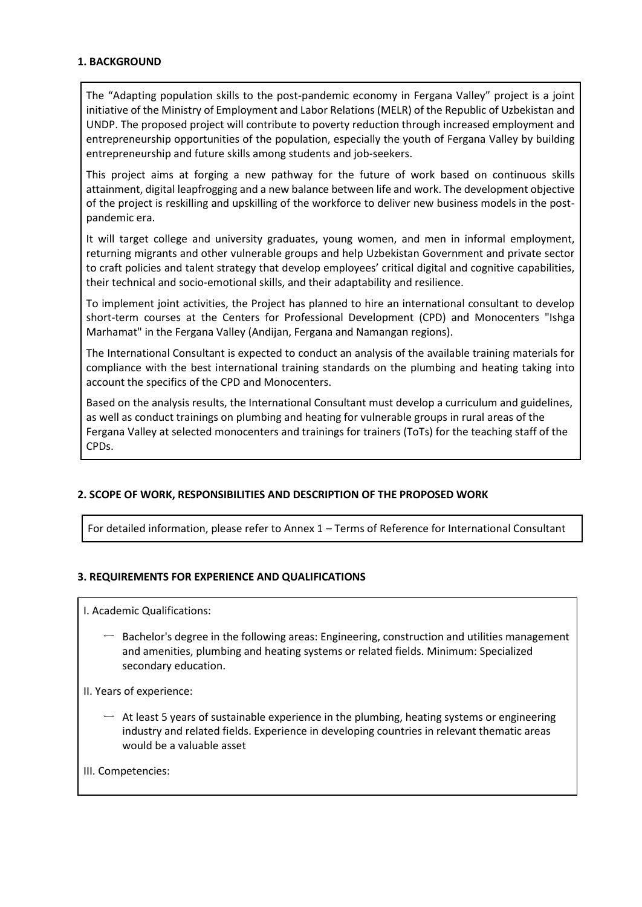### **1. BACKGROUND**

The "Adapting population skills to the post-pandemic economy in Fergana Valley" project is a joint initiative of the Ministry of Employment and Labor Relations (MELR) of the Republic of Uzbekistan and UNDP. The proposed project will contribute to poverty reduction through increased employment and entrepreneurship opportunities of the population, especially the youth of Fergana Valley by building entrepreneurship and future skills among students and job-seekers.

This project aims at forging a new pathway for the future of work based on continuous skills attainment, digital leapfrogging and a new balance between life and work. The development objective of the project is reskilling and upskilling of the workforce to deliver new business models in the postpandemic era.

It will target college and university graduates, young women, and men in informal employment, returning migrants and other vulnerable groups and help Uzbekistan Government and private sector to craft policies and talent strategy that develop employees' critical digital and cognitive capabilities, their technical and socio-emotional skills, and their adaptability and resilience.

To implement joint activities, the Project has planned to hire an international consultant to develop short-term courses at the Centers for Professional Development (CPD) and Monocenters "Ishga Marhamat" in the Fergana Valley (Andijan, Fergana and Namangan regions).

The International Consultant is expected to conduct an analysis of the available training materials for compliance with the best international training standards on the plumbing and heating taking into account the specifics of the CPD and Monocenters.

Based on the analysis results, the International Consultant must develop a curriculum and guidelines, as well as conduct trainings on plumbing and heating for vulnerable groups in rural areas of the Fergana Valley at selected monocenters and trainings for trainers (ToTs) for the teaching staff of the CPDs.

# **2. SCOPE OF WORK, RESPONSIBILITIES AND DESCRIPTION OF THE PROPOSED WORK**

For detailed information, please refer to Annex 1 – Terms of Reference for International Consultant

# **3. REQUIREMENTS FOR EXPERIENCE AND QUALIFICATIONS**

I. Academic Qualifications:

- $-$  Bachelor's degree in the following areas: Engineering, construction and utilities management and amenities, plumbing and heating systems or related fields. Minimum: Specialized secondary education.
- II. Years of experience:
	- $-$  At least 5 years of sustainable experience in the plumbing, heating systems or engineering industry and related fields. Experience in developing countries in relevant thematic areas would be a valuable asset
- III. Competencies: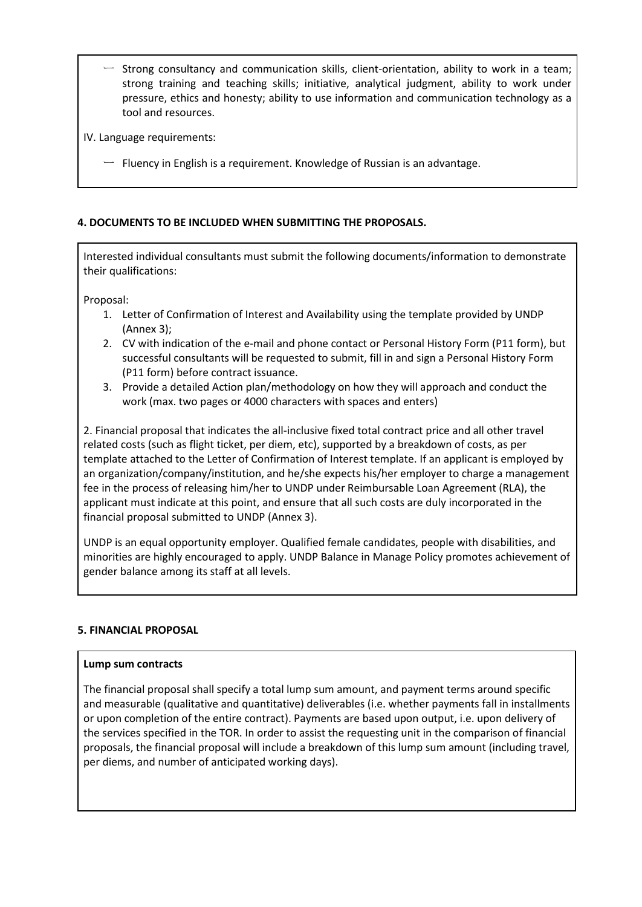- Strong consultancy and communication skills, client-orientation, ability to work in a team; strong training and teaching skills; initiative, analytical judgment, ability to work under pressure, ethics and honesty; ability to use information and communication technology as a tool and resources.
- IV. Language requirements:
	- $-$  Fluency in English is a requirement. Knowledge of Russian is an advantage.

# **4. DOCUMENTS TO BE INCLUDED WHEN SUBMITTING THE PROPOSALS.**

Interested individual consultants must submit the following documents/information to demonstrate their qualifications:

Proposal:

- 1. Letter of Confirmation of Interest and Availability using the template provided by UNDP (Annex 3);
- 2. CV with indication of the e-mail and phone contact or Personal History Form (P11 form), but successful consultants will be requested to submit, fill in and sign a Personal History Form (P11 form) before contract issuance.
- 3. Provide a detailed Action plan/methodology on how they will approach and conduct the work (max. two pages or 4000 characters with spaces and enters)

2. Financial proposal that indicates the all-inclusive fixed total contract price and all other travel related costs (such as flight ticket, per diem, etc), supported by a breakdown of costs, as per template attached to the Letter of Confirmation of Interest template. If an applicant is employed by an organization/company/institution, and he/she expects his/her employer to charge a management fee in the process of releasing him/her to UNDP under Reimbursable Loan Agreement (RLA), the applicant must indicate at this point, and ensure that all such costs are duly incorporated in the financial proposal submitted to UNDP (Annex 3).

UNDP is an equal opportunity employer. Qualified female candidates, people with disabilities, and minorities are highly encouraged to apply. UNDP Balance in Manage Policy promotes achievement of gender balance among its staff at all levels.

#### **5. FINANCIAL PROPOSAL**

#### **Lump sum contracts**

The financial proposal shall specify a total lump sum amount, and payment terms around specific and measurable (qualitative and quantitative) deliverables (i.e. whether payments fall in installments or upon completion of the entire contract). Payments are based upon output, i.e. upon delivery of the services specified in the TOR. In order to assist the requesting unit in the comparison of financial proposals, the financial proposal will include a breakdown of this lump sum amount (including travel, per diems, and number of anticipated working days).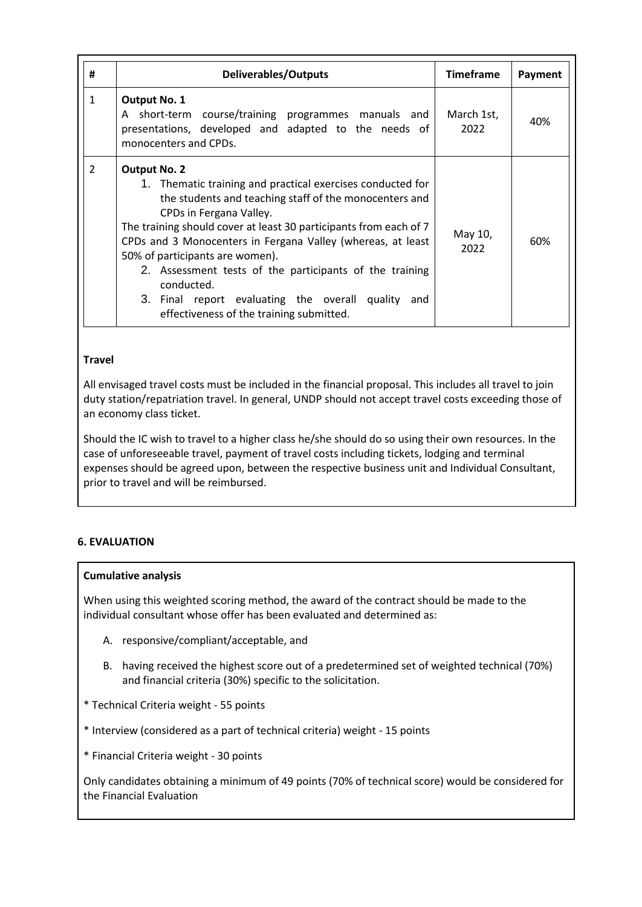| #             | <b>Deliverables/Outputs</b>                                                                                                                                                                                                                                                                                                                                                                                                                                                                                                 | <b>Timeframe</b>   | Payment |
|---------------|-----------------------------------------------------------------------------------------------------------------------------------------------------------------------------------------------------------------------------------------------------------------------------------------------------------------------------------------------------------------------------------------------------------------------------------------------------------------------------------------------------------------------------|--------------------|---------|
| $\mathbf{1}$  | <b>Output No. 1</b><br>A short-term course/training programmes manuals and<br>presentations, developed and adapted to the needs of<br>monocenters and CPDs.                                                                                                                                                                                                                                                                                                                                                                 | March 1st,<br>2022 | 40%     |
| $\mathcal{P}$ | <b>Output No. 2</b><br>1. Thematic training and practical exercises conducted for<br>the students and teaching staff of the monocenters and<br>CPDs in Fergana Valley.<br>The training should cover at least 30 participants from each of 7<br>CPDs and 3 Monocenters in Fergana Valley (whereas, at least<br>50% of participants are women).<br>2. Assessment tests of the participants of the training<br>conducted.<br>3. Final report evaluating the overall quality<br>and<br>effectiveness of the training submitted. | May 10,<br>2022    | 60%     |

### **Travel**

All envisaged travel costs must be included in the financial proposal. This includes all travel to join duty station/repatriation travel. In general, UNDP should not accept travel costs exceeding those of an economy class ticket.

Should the IC wish to travel to a higher class he/she should do so using their own resources. In the case of unforeseeable travel, payment of travel costs including tickets, lodging and terminal expenses should be agreed upon, between the respective business unit and Individual Consultant, prior to travel and will be reimbursed.

# **6. EVALUATION**

#### **Cumulative analysis**

When using this weighted scoring method, the award of the contract should be made to the individual consultant whose offer has been evaluated and determined as:

- A. responsive/compliant/acceptable, and
- B. having received the highest score out of a predetermined set of weighted technical (70%) and financial criteria (30%) specific to the solicitation.
- \* Technical Criteria weight 55 points
- \* Interview (considered as a part of technical criteria) weight 15 points
- \* Financial Criteria weight 30 points

Only candidates obtaining a minimum of 49 points (70% of technical score) would be considered for the Financial Evaluation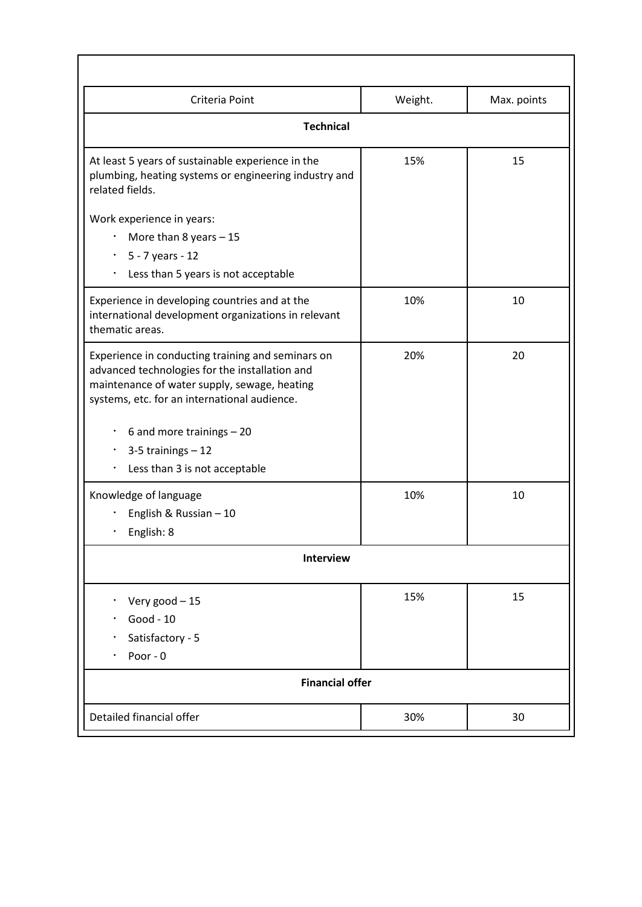| Criteria Point                                                                                                                                                                                      | Weight. | Max. points |  |  |  |
|-----------------------------------------------------------------------------------------------------------------------------------------------------------------------------------------------------|---------|-------------|--|--|--|
| <b>Technical</b>                                                                                                                                                                                    |         |             |  |  |  |
| At least 5 years of sustainable experience in the<br>plumbing, heating systems or engineering industry and<br>related fields.                                                                       | 15%     | 15          |  |  |  |
| Work experience in years:                                                                                                                                                                           |         |             |  |  |  |
| More than 8 years $-15$                                                                                                                                                                             |         |             |  |  |  |
| 5 - 7 years - 12<br>$\bullet$                                                                                                                                                                       |         |             |  |  |  |
| Less than 5 years is not acceptable<br>٠                                                                                                                                                            |         |             |  |  |  |
| Experience in developing countries and at the<br>international development organizations in relevant<br>thematic areas.                                                                             | 10%     | 10          |  |  |  |
| Experience in conducting training and seminars on<br>advanced technologies for the installation and<br>maintenance of water supply, sewage, heating<br>systems, etc. for an international audience. | 20%     | 20          |  |  |  |
| 6 and more trainings - 20<br>٠                                                                                                                                                                      |         |             |  |  |  |
| $3-5$ trainings $-12$<br>$\bullet$                                                                                                                                                                  |         |             |  |  |  |
| Less than 3 is not acceptable                                                                                                                                                                       |         |             |  |  |  |
| Knowledge of language                                                                                                                                                                               | 10%     | 10          |  |  |  |
| English & Russian - 10                                                                                                                                                                              |         |             |  |  |  |
| English: 8                                                                                                                                                                                          |         |             |  |  |  |
| <b>Interview</b>                                                                                                                                                                                    |         |             |  |  |  |
|                                                                                                                                                                                                     |         |             |  |  |  |
| Very good - 15<br>$\bullet$                                                                                                                                                                         | 15%     | 15          |  |  |  |
| Good - 10                                                                                                                                                                                           |         |             |  |  |  |
| Satisfactory - 5                                                                                                                                                                                    |         |             |  |  |  |
| Poor - 0                                                                                                                                                                                            |         |             |  |  |  |
| <b>Financial offer</b>                                                                                                                                                                              |         |             |  |  |  |
| Detailed financial offer                                                                                                                                                                            | 30%     | 30          |  |  |  |
|                                                                                                                                                                                                     |         |             |  |  |  |